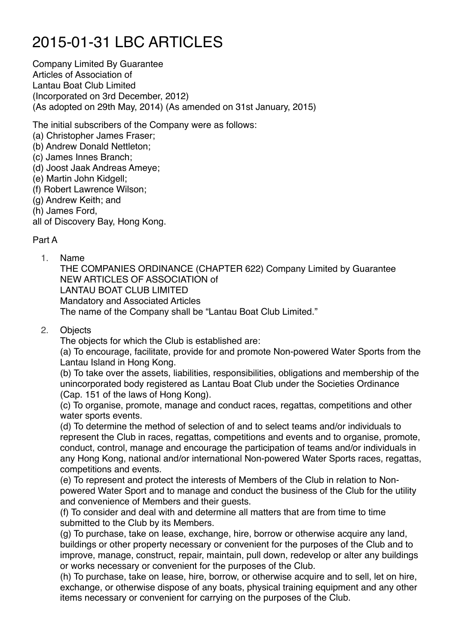# 2015-01-31 LBC ARTICLES

Company Limited By Guarantee Articles of Association of Lantau Boat Club Limited (Incorporated on 3rd December, 2012) (As adopted on 29th May, 2014) (As amended on 31st January, 2015)

The initial subscribers of the Company were as follows:

- (a) Christopher James Fraser;
- (b) Andrew Donald Nettleton;
- (c) James Innes Branch;
- (d) Joost Jaak Andreas Ameye;
- (e) Martin John Kidgell;
- (f) Robert Lawrence Wilson;
- (g) Andrew Keith; and
- (h) James Ford,

all of Discovery Bay, Hong Kong.

# Part A

1. Name

THE COMPANIES ORDINANCE (CHAPTER 622) Company Limited by Guarantee NEW ARTICLES OF ASSOCIATION of LANTAU BOAT CLUB LIMITED Mandatory and Associated Articles The name of the Company shall be "Lantau Boat Club Limited."

2. Objects

The objects for which the Club is established are:

(a) To encourage, facilitate, provide for and promote Non-powered Water Sports from the Lantau Island in Hong Kong.

(b) To take over the assets, liabilities, responsibilities, obligations and membership of the unincorporated body registered as Lantau Boat Club under the Societies Ordinance (Cap. 151 of the laws of Hong Kong).

(c) To organise, promote, manage and conduct races, regattas, competitions and other water sports events.

(d) To determine the method of selection of and to select teams and/or individuals to represent the Club in races, regattas, competitions and events and to organise, promote, conduct, control, manage and encourage the participation of teams and/or individuals in any Hong Kong, national and/or international Non-powered Water Sports races, regattas, competitions and events.

(e) To represent and protect the interests of Members of the Club in relation to Nonpowered Water Sport and to manage and conduct the business of the Club for the utility and convenience of Members and their guests.

(f) To consider and deal with and determine all matters that are from time to time submitted to the Club by its Members.

(g) To purchase, take on lease, exchange, hire, borrow or otherwise acquire any land, buildings or other property necessary or convenient for the purposes of the Club and to improve, manage, construct, repair, maintain, pull down, redevelop or alter any buildings or works necessary or convenient for the purposes of the Club.

(h) To purchase, take on lease, hire, borrow, or otherwise acquire and to sell, let on hire, exchange, or otherwise dispose of any boats, physical training equipment and any other items necessary or convenient for carrying on the purposes of the Club.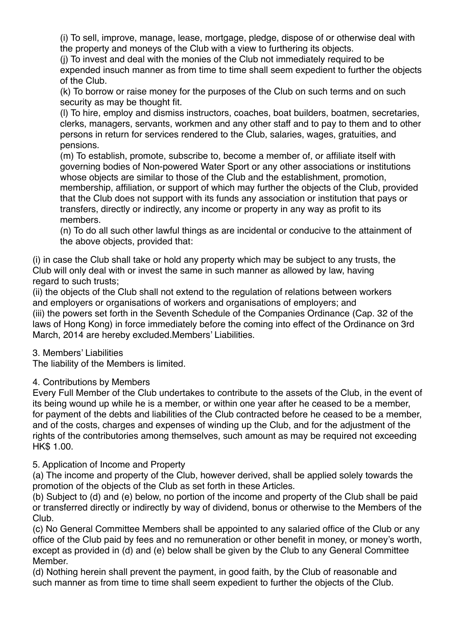(i) To sell, improve, manage, lease, mortgage, pledge, dispose of or otherwise deal with the property and moneys of the Club with a view to furthering its objects.

(j) To invest and deal with the monies of the Club not immediately required to be expended insuch manner as from time to time shall seem expedient to further the objects of the Club.

(k) To borrow or raise money for the purposes of the Club on such terms and on such security as may be thought fit.

(l) To hire, employ and dismiss instructors, coaches, boat builders, boatmen, secretaries, clerks, managers, servants, workmen and any other staff and to pay to them and to other persons in return for services rendered to the Club, salaries, wages, gratuities, and pensions.

(m) To establish, promote, subscribe to, become a member of, or affiliate itself with governing bodies of Non-powered Water Sport or any other associations or institutions whose objects are similar to those of the Club and the establishment, promotion, membership, affiliation, or support of which may further the objects of the Club, provided that the Club does not support with its funds any association or institution that pays or transfers, directly or indirectly, any income or property in any way as profit to its members.

(n) To do all such other lawful things as are incidental or conducive to the attainment of the above objects, provided that:

(i) in case the Club shall take or hold any property which may be subject to any trusts, the Club will only deal with or invest the same in such manner as allowed by law, having regard to such trusts;

(ii) the objects of the Club shall not extend to the regulation of relations between workers and employers or organisations of workers and organisations of employers; and (iii) the powers set forth in the Seventh Schedule of the Companies Ordinance (Cap. 32 of the laws of Hong Kong) in force immediately before the coming into effect of the Ordinance on 3rd March, 2014 are hereby excluded.Members' Liabilities.

# 3. Members' Liabilities

The liability of the Members is limited.

# 4. Contributions by Members

Every Full Member of the Club undertakes to contribute to the assets of the Club, in the event of its being wound up while he is a member, or within one year after he ceased to be a member, for payment of the debts and liabilities of the Club contracted before he ceased to be a member, and of the costs, charges and expenses of winding up the Club, and for the adjustment of the rights of the contributories among themselves, such amount as may be required not exceeding HK\$ 1.00.

# 5. Application of Income and Property

(a) The income and property of the Club, however derived, shall be applied solely towards the promotion of the objects of the Club as set forth in these Articles.

(b) Subject to (d) and (e) below, no portion of the income and property of the Club shall be paid or transferred directly or indirectly by way of dividend, bonus or otherwise to the Members of the Club.

(c) No General Committee Members shall be appointed to any salaried office of the Club or any office of the Club paid by fees and no remuneration or other benefit in money, or money's worth, except as provided in (d) and (e) below shall be given by the Club to any General Committee Member.

(d) Nothing herein shall prevent the payment, in good faith, by the Club of reasonable and such manner as from time to time shall seem expedient to further the objects of the Club.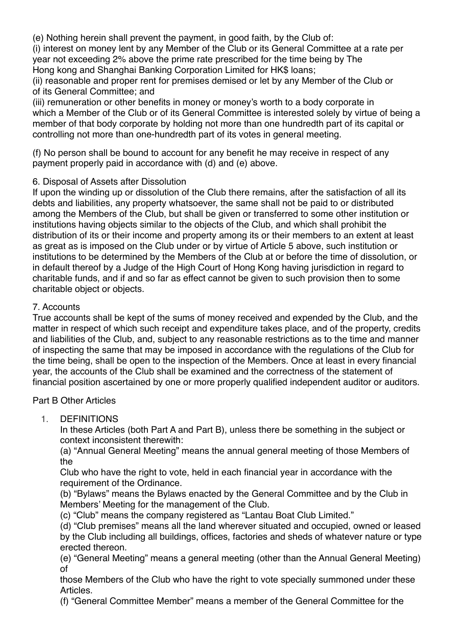(e) Nothing herein shall prevent the payment, in good faith, by the Club of:

(i) interest on money lent by any Member of the Club or its General Committee at a rate per year not exceeding 2% above the prime rate prescribed for the time being by The Hong kong and Shanghai Banking Corporation Limited for HK\$ loans;

(ii) reasonable and proper rent for premises demised or let by any Member of the Club or of its General Committee; and

(iii) remuneration or other benefits in money or money's worth to a body corporate in which a Member of the Club or of its General Committee is interested solely by virtue of being a member of that body corporate by holding not more than one hundredth part of its capital or controlling not more than one-hundredth part of its votes in general meeting.

(f) No person shall be bound to account for any benefit he may receive in respect of any payment properly paid in accordance with (d) and (e) above.

# 6. Disposal of Assets after Dissolution

If upon the winding up or dissolution of the Club there remains, after the satisfaction of all its debts and liabilities, any property whatsoever, the same shall not be paid to or distributed among the Members of the Club, but shall be given or transferred to some other institution or institutions having objects similar to the objects of the Club, and which shall prohibit the distribution of its or their income and property among its or their members to an extent at least as great as is imposed on the Club under or by virtue of Article 5 above, such institution or institutions to be determined by the Members of the Club at or before the time of dissolution, or in default thereof by a Judge of the High Court of Hong Kong having jurisdiction in regard to charitable funds, and if and so far as effect cannot be given to such provision then to some charitable object or objects.

## 7. Accounts

True accounts shall be kept of the sums of money received and expended by the Club, and the matter in respect of which such receipt and expenditure takes place, and of the property, credits and liabilities of the Club, and, subject to any reasonable restrictions as to the time and manner of inspecting the same that may be imposed in accordance with the regulations of the Club for the time being, shall be open to the inspection of the Members. Once at least in every financial year, the accounts of the Club shall be examined and the correctness of the statement of financial position ascertained by one or more properly qualified independent auditor or auditors.

#### Part B Other Articles

1. DEFINITIONS

In these Articles (both Part A and Part B), unless there be something in the subject or context inconsistent therewith:

(a) "Annual General Meeting" means the annual general meeting of those Members of the

Club who have the right to vote, held in each financial year in accordance with the requirement of the Ordinance.

(b) "Bylaws" means the Bylaws enacted by the General Committee and by the Club in Members' Meeting for the management of the Club.

(c) "Club" means the company registered as "Lantau Boat Club Limited."

(d) "Club premises" means all the land wherever situated and occupied, owned or leased by the Club including all buildings, offices, factories and sheds of whatever nature or type erected thereon.

(e) "General Meeting" means a general meeting (other than the Annual General Meeting) of

those Members of the Club who have the right to vote specially summoned under these Articles.

(f) "General Committee Member" means a member of the General Committee for the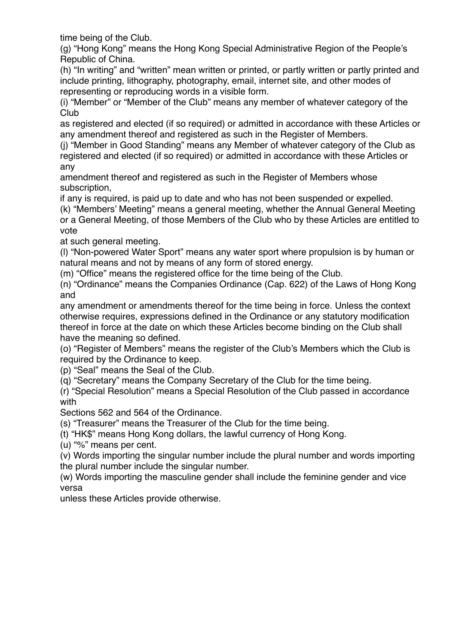time being of the Club.

(g) "Hong Kong" means the Hong Kong Special Administrative Region of the People's Republic of China.

(h) "In writing" and "written" mean written or printed, or partly written or partly printed and include printing, lithography, photography, email, internet site, and other modes of representing or reproducing words in a visible form.

(i) "Member" or "Member of the Club" means any member of whatever category of the Club

as registered and elected (if so required) or admitted in accordance with these Articles or any amendment thereof and registered as such in the Register of Members.

(j) "Member in Good Standing" means any Member of whatever category of the Club as registered and elected (if so required) or admitted in accordance with these Articles or any

amendment thereof and registered as such in the Register of Members whose subscription,

if any is required, is paid up to date and who has not been suspended or expelled.

(k) "Members' Meeting" means a general meeting, whether the Annual General Meeting or a General Meeting, of those Members of the Club who by these Articles are entitled to vote

at such general meeting.

(l) "Non-powered Water Sport" means any water sport where propulsion is by human or natural means and not by means of any form of stored energy.

(m) "Office" means the registered office for the time being of the Club.

(n) "Ordinance" means the Companies Ordinance (Cap. 622) of the Laws of Hong Kong and

any amendment or amendments thereof for the time being in force. Unless the context otherwise requires, expressions defined in the Ordinance or any statutory modification thereof in force at the date on which these Articles become binding on the Club shall have the meaning so defined.

(o) "Register of Members" means the register of the Club's Members which the Club is required by the Ordinance to keep.

(p) "Seal" means the Seal of the Club.

(q) "Secretary" means the Company Secretary of the Club for the time being.

(r) "Special Resolution" means a Special Resolution of the Club passed in accordance with

Sections 562 and 564 of the Ordinance.

(s) "Treasurer" means the Treasurer of the Club for the time being.

(t) "HK\$" means Hong Kong dollars, the lawful currency of Hong Kong.

(u) "%" means per cent.

(v) Words importing the singular number include the plural number and words importing the plural number include the singular number.

(w) Words importing the masculine gender shall include the feminine gender and vice versa

unless these Articles provide otherwise.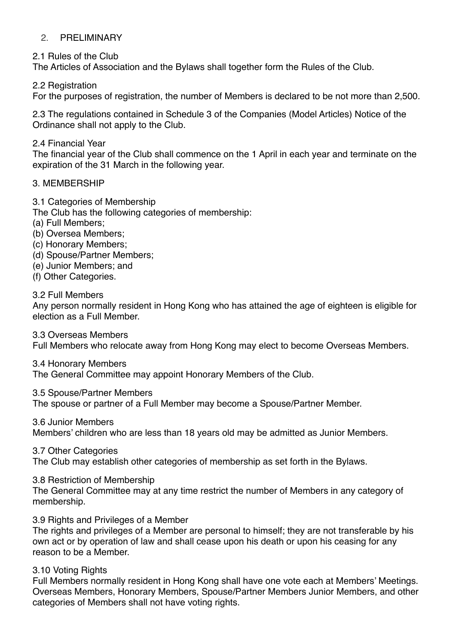## 2. PRELIMINARY

2.1 Rules of the Club

The Articles of Association and the Bylaws shall together form the Rules of the Club.

2.2 Registration

For the purposes of registration, the number of Members is declared to be not more than 2,500.

2.3 The regulations contained in Schedule 3 of the Companies (Model Articles) Notice of the Ordinance shall not apply to the Club.

2.4 Financial Year

The financial year of the Club shall commence on the 1 April in each year and terminate on the expiration of the 31 March in the following year.

## 3. MEMBERSHIP

3.1 Categories of Membership

The Club has the following categories of membership:

- (a) Full Members;
- (b) Oversea Members;
- (c) Honorary Members;
- (d) Spouse/Partner Members;
- (e) Junior Members; and
- (f) Other Categories.

3.2 Full Members

Any person normally resident in Hong Kong who has attained the age of eighteen is eligible for election as a Full Member.

3.3 Overseas Members

Full Members who relocate away from Hong Kong may elect to become Overseas Members.

3.4 Honorary Members

The General Committee may appoint Honorary Members of the Club.

3.5 Spouse/Partner Members

The spouse or partner of a Full Member may become a Spouse/Partner Member.

3.6 Junior Members

Members' children who are less than 18 years old may be admitted as Junior Members.

3.7 Other Categories

The Club may establish other categories of membership as set forth in the Bylaws.

3.8 Restriction of Membership

The General Committee may at any time restrict the number of Members in any category of membership.

3.9 Rights and Privileges of a Member

The rights and privileges of a Member are personal to himself; they are not transferable by his own act or by operation of law and shall cease upon his death or upon his ceasing for any reason to be a Member.

#### 3.10 Voting Rights

Full Members normally resident in Hong Kong shall have one vote each at Members' Meetings. Overseas Members, Honorary Members, Spouse/Partner Members Junior Members, and other categories of Members shall not have voting rights.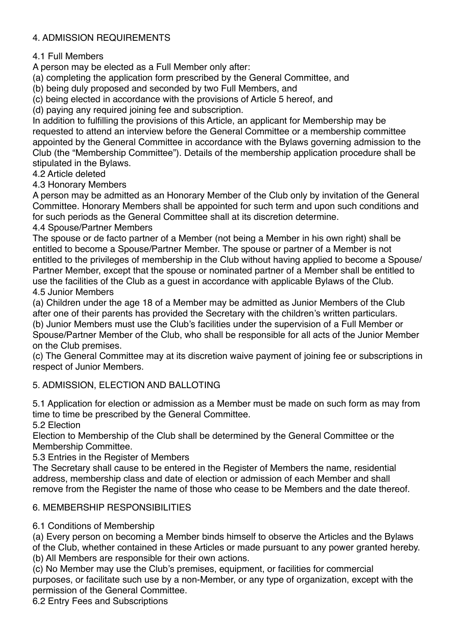# 4. ADMISSION REQUIREMENTS

4.1 Full Members

A person may be elected as a Full Member only after:

(a) completing the application form prescribed by the General Committee, and

(b) being duly proposed and seconded by two Full Members, and

(c) being elected in accordance with the provisions of Article 5 hereof, and

(d) paying any required joining fee and subscription.

In addition to fulfilling the provisions of this Article, an applicant for Membership may be requested to attend an interview before the General Committee or a membership committee appointed by the General Committee in accordance with the Bylaws governing admission to the Club (the "Membership Committee"). Details of the membership application procedure shall be stipulated in the Bylaws.

4.2 Article deleted

4.3 Honorary Members

A person may be admitted as an Honorary Member of the Club only by invitation of the General Committee. Honorary Members shall be appointed for such term and upon such conditions and for such periods as the General Committee shall at its discretion determine.

4.4 Spouse/Partner Members

The spouse or de facto partner of a Member (not being a Member in his own right) shall be entitled to become a Spouse/Partner Member. The spouse or partner of a Member is not entitled to the privileges of membership in the Club without having applied to become a Spouse/ Partner Member, except that the spouse or nominated partner of a Member shall be entitled to use the facilities of the Club as a guest in accordance with applicable Bylaws of the Club. 4.5 Junior Members

(a) Children under the age 18 of a Member may be admitted as Junior Members of the Club after one of their parents has provided the Secretary with the children's written particulars.

(b) Junior Members must use the Club's facilities under the supervision of a Full Member or Spouse/Partner Member of the Club, who shall be responsible for all acts of the Junior Member on the Club premises.

(c) The General Committee may at its discretion waive payment of joining fee or subscriptions in respect of Junior Members.

# 5. ADMISSION, ELECTION AND BALLOTING

5.1 Application for election or admission as a Member must be made on such form as may from time to time be prescribed by the General Committee.

5.2 Election

Election to Membership of the Club shall be determined by the General Committee or the Membership Committee.

5.3 Entries in the Register of Members

The Secretary shall cause to be entered in the Register of Members the name, residential address, membership class and date of election or admission of each Member and shall remove from the Register the name of those who cease to be Members and the date thereof.

# 6. MEMBERSHIP RESPONSIBILITIES

6.1 Conditions of Membership

(a) Every person on becoming a Member binds himself to observe the Articles and the Bylaws of the Club, whether contained in these Articles or made pursuant to any power granted hereby. (b) All Members are responsible for their own actions.

(c) No Member may use the Club's premises, equipment, or facilities for commercial purposes, or facilitate such use by a non-Member, or any type of organization, except with the permission of the General Committee.

6.2 Entry Fees and Subscriptions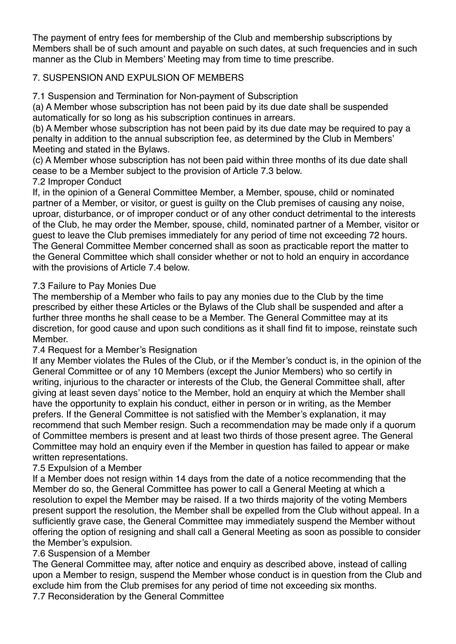The payment of entry fees for membership of the Club and membership subscriptions by Members shall be of such amount and payable on such dates, at such frequencies and in such manner as the Club in Members' Meeting may from time to time prescribe.

# 7. SUSPENSION AND EXPULSION OF MEMBERS

7.1 Suspension and Termination for Non-payment of Subscription

(a) A Member whose subscription has not been paid by its due date shall be suspended automatically for so long as his subscription continues in arrears.

(b) A Member whose subscription has not been paid by its due date may be required to pay a penalty in addition to the annual subscription fee, as determined by the Club in Members' Meeting and stated in the Bylaws.

(c) A Member whose subscription has not been paid within three months of its due date shall cease to be a Member subject to the provision of Article 7.3 below.

# 7.2 Improper Conduct

If, in the opinion of a General Committee Member, a Member, spouse, child or nominated partner of a Member, or visitor, or guest is guilty on the Club premises of causing any noise, uproar, disturbance, or of improper conduct or of any other conduct detrimental to the interests of the Club, he may order the Member, spouse, child, nominated partner of a Member, visitor or guest to leave the Club premises immediately for any period of time not exceeding 72 hours. The General Committee Member concerned shall as soon as practicable report the matter to the General Committee which shall consider whether or not to hold an enquiry in accordance with the provisions of Article 7.4 below.

# 7.3 Failure to Pay Monies Due

The membership of a Member who fails to pay any monies due to the Club by the time prescribed by either these Articles or the Bylaws of the Club shall be suspended and after a further three months he shall cease to be a Member. The General Committee may at its discretion, for good cause and upon such conditions as it shall find fit to impose, reinstate such Member.

# 7.4 Request for a Member's Resignation

If any Member violates the Rules of the Club, or if the Member's conduct is, in the opinion of the General Committee or of any 10 Members (except the Junior Members) who so certify in writing, injurious to the character or interests of the Club, the General Committee shall, after giving at least seven days' notice to the Member, hold an enquiry at which the Member shall have the opportunity to explain his conduct, either in person or in writing, as the Member prefers. If the General Committee is not satisfied with the Member's explanation, it may recommend that such Member resign. Such a recommendation may be made only if a quorum of Committee members is present and at least two thirds of those present agree. The General Committee may hold an enquiry even if the Member in question has failed to appear or make written representations.

# 7.5 Expulsion of a Member

If a Member does not resign within 14 days from the date of a notice recommending that the Member do so, the General Committee has power to call a General Meeting at which a resolution to expel the Member may be raised. If a two thirds majority of the voting Members present support the resolution, the Member shall be expelled from the Club without appeal. In a sufficiently grave case, the General Committee may immediately suspend the Member without offering the option of resigning and shall call a General Meeting as soon as possible to consider the Member's expulsion.

# 7.6 Suspension of a Member

The General Committee may, after notice and enquiry as described above, instead of calling upon a Member to resign, suspend the Member whose conduct is in question from the Club and exclude him from the Club premises for any period of time not exceeding six months.

7.7 Reconsideration by the General Committee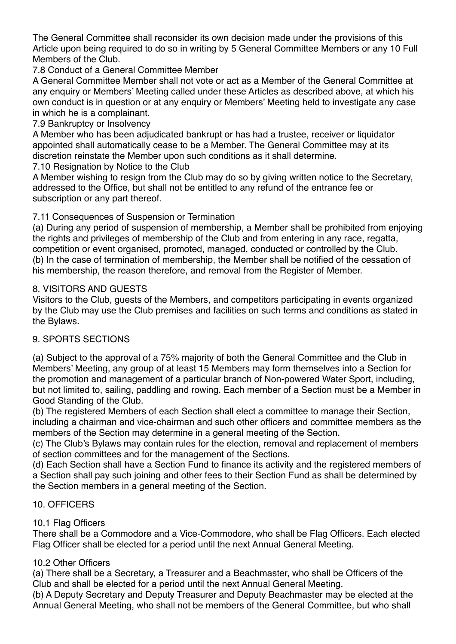The General Committee shall reconsider its own decision made under the provisions of this Article upon being required to do so in writing by 5 General Committee Members or any 10 Full Members of the Club.

# 7.8 Conduct of a General Committee Member

A General Committee Member shall not vote or act as a Member of the General Committee at any enquiry or Members' Meeting called under these Articles as described above, at which his own conduct is in question or at any enquiry or Members' Meeting held to investigate any case in which he is a complainant.

# 7.9 Bankruptcy or Insolvency

A Member who has been adjudicated bankrupt or has had a trustee, receiver or liquidator appointed shall automatically cease to be a Member. The General Committee may at its discretion reinstate the Member upon such conditions as it shall determine.

7.10 Resignation by Notice to the Club

A Member wishing to resign from the Club may do so by giving written notice to the Secretary, addressed to the Office, but shall not be entitled to any refund of the entrance fee or subscription or any part thereof.

# 7.11 Consequences of Suspension or Termination

(a) During any period of suspension of membership, a Member shall be prohibited from enjoying the rights and privileges of membership of the Club and from entering in any race, regatta, competition or event organised, promoted, managed, conducted or controlled by the Club. (b) In the case of termination of membership, the Member shall be notified of the cessation of his membership, the reason therefore, and removal from the Register of Member.

# 8. VISITORS AND GUESTS

Visitors to the Club, guests of the Members, and competitors participating in events organized by the Club may use the Club premises and facilities on such terms and conditions as stated in the Bylaws.

# 9. SPORTS SECTIONS

(a) Subject to the approval of a 75% majority of both the General Committee and the Club in Members' Meeting, any group of at least 15 Members may form themselves into a Section for the promotion and management of a particular branch of Non-powered Water Sport, including, but not limited to, sailing, paddling and rowing. Each member of a Section must be a Member in Good Standing of the Club.

(b) The registered Members of each Section shall elect a committee to manage their Section, including a chairman and vice-chairman and such other officers and committee members as the members of the Section may determine in a general meeting of the Section.

(c) The Club's Bylaws may contain rules for the election, removal and replacement of members of section committees and for the management of the Sections.

(d) Each Section shall have a Section Fund to finance its activity and the registered members of a Section shall pay such joining and other fees to their Section Fund as shall be determined by the Section members in a general meeting of the Section.

# 10. OFFICERS

# 10.1 Flag Officers

There shall be a Commodore and a Vice-Commodore, who shall be Flag Officers. Each elected Flag Officer shall be elected for a period until the next Annual General Meeting.

# 10.2 Other Officers

(a) There shall be a Secretary, a Treasurer and a Beachmaster, who shall be Officers of the Club and shall be elected for a period until the next Annual General Meeting.

(b) A Deputy Secretary and Deputy Treasurer and Deputy Beachmaster may be elected at the Annual General Meeting, who shall not be members of the General Committee, but who shall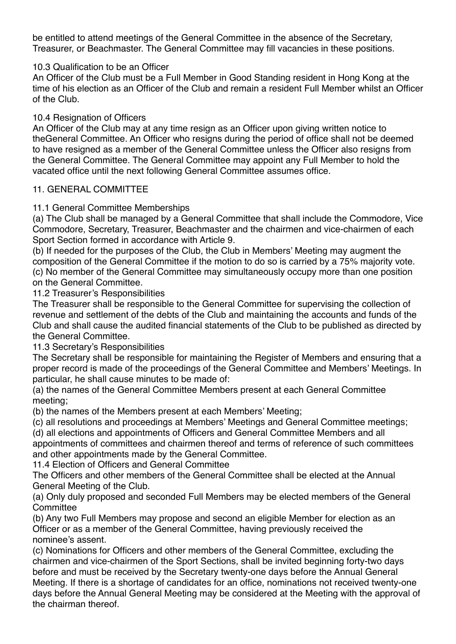be entitled to attend meetings of the General Committee in the absence of the Secretary, Treasurer, or Beachmaster. The General Committee may fill vacancies in these positions.

## 10.3 Qualification to be an Officer

An Officer of the Club must be a Full Member in Good Standing resident in Hong Kong at the time of his election as an Officer of the Club and remain a resident Full Member whilst an Officer of the Club.

#### 10.4 Resignation of Officers

An Officer of the Club may at any time resign as an Officer upon giving written notice to theGeneral Committee. An Officer who resigns during the period of office shall not be deemed to have resigned as a member of the General Committee unless the Officer also resigns from the General Committee. The General Committee may appoint any Full Member to hold the vacated office until the next following General Committee assumes office.

#### 11. GENERAL COMMITTEE

## 11.1 General Committee Memberships

(a) The Club shall be managed by a General Committee that shall include the Commodore, Vice Commodore, Secretary, Treasurer, Beachmaster and the chairmen and vice-chairmen of each Sport Section formed in accordance with Article 9.

(b) If needed for the purposes of the Club, the Club in Members' Meeting may augment the composition of the General Committee if the motion to do so is carried by a 75% majority vote. (c) No member of the General Committee may simultaneously occupy more than one position

on the General Committee.

11.2 Treasurer's Responsibilities

The Treasurer shall be responsible to the General Committee for supervising the collection of revenue and settlement of the debts of the Club and maintaining the accounts and funds of the Club and shall cause the audited financial statements of the Club to be published as directed by the General Committee.

11.3 Secretary's Responsibilities

The Secretary shall be responsible for maintaining the Register of Members and ensuring that a proper record is made of the proceedings of the General Committee and Members' Meetings. In particular, he shall cause minutes to be made of:

(a) the names of the General Committee Members present at each General Committee meeting;

(b) the names of the Members present at each Members' Meeting;

(c) all resolutions and proceedings at Members' Meetings and General Committee meetings;

(d) all elections and appointments of Officers and General Committee Members and all appointments of committees and chairmen thereof and terms of reference of such committees and other appointments made by the General Committee.

11.4 Election of Officers and General Committee

The Officers and other members of the General Committee shall be elected at the Annual General Meeting of the Club.

(a) Only duly proposed and seconded Full Members may be elected members of the General **Committee** 

(b) Any two Full Members may propose and second an eligible Member for election as an Officer or as a member of the General Committee, having previously received the nominee's assent.

(c) Nominations for Officers and other members of the General Committee, excluding the chairmen and vice-chairmen of the Sport Sections, shall be invited beginning forty-two days before and must be received by the Secretary twenty-one days before the Annual General Meeting. If there is a shortage of candidates for an office, nominations not received twenty-one days before the Annual General Meeting may be considered at the Meeting with the approval of the chairman thereof.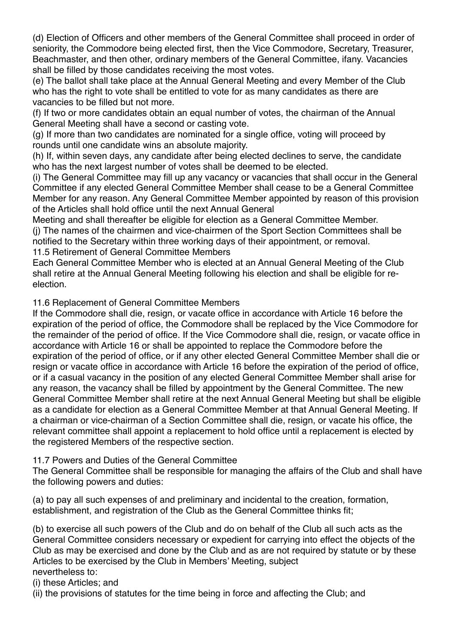(d) Election of Officers and other members of the General Committee shall proceed in order of seniority, the Commodore being elected first, then the Vice Commodore, Secretary, Treasurer, Beachmaster, and then other, ordinary members of the General Committee, ifany. Vacancies shall be filled by those candidates receiving the most votes.

(e) The ballot shall take place at the Annual General Meeting and every Member of the Club who has the right to vote shall be entitled to vote for as many candidates as there are vacancies to be filled but not more.

(f) If two or more candidates obtain an equal number of votes, the chairman of the Annual General Meeting shall have a second or casting vote.

(g) If more than two candidates are nominated for a single office, voting will proceed by rounds until one candidate wins an absolute majority.

(h) If, within seven days, any candidate after being elected declines to serve, the candidate who has the next largest number of votes shall be deemed to be elected.

(i) The General Committee may fill up any vacancy or vacancies that shall occur in the General Committee if any elected General Committee Member shall cease to be a General Committee Member for any reason. Any General Committee Member appointed by reason of this provision of the Articles shall hold office until the next Annual General

Meeting and shall thereafter be eligible for election as a General Committee Member.

(j) The names of the chairmen and vice-chairmen of the Sport Section Committees shall be notified to the Secretary within three working days of their appointment, or removal. 11.5 Retirement of General Committee Members

Each General Committee Member who is elected at an Annual General Meeting of the Club shall retire at the Annual General Meeting following his election and shall be eligible for reelection.

# 11.6 Replacement of General Committee Members

If the Commodore shall die, resign, or vacate office in accordance with Article 16 before the expiration of the period of office, the Commodore shall be replaced by the Vice Commodore for the remainder of the period of office. If the Vice Commodore shall die, resign, or vacate office in accordance with Article 16 or shall be appointed to replace the Commodore before the expiration of the period of office, or if any other elected General Committee Member shall die or resign or vacate office in accordance with Article 16 before the expiration of the period of office, or if a casual vacancy in the position of any elected General Committee Member shall arise for any reason, the vacancy shall be filled by appointment by the General Committee. The new General Committee Member shall retire at the next Annual General Meeting but shall be eligible as a candidate for election as a General Committee Member at that Annual General Meeting. If a chairman or vice-chairman of a Section Committee shall die, resign, or vacate his office, the relevant committee shall appoint a replacement to hold office until a replacement is elected by the registered Members of the respective section.

# 11.7 Powers and Duties of the General Committee

The General Committee shall be responsible for managing the affairs of the Club and shall have the following powers and duties:

(a) to pay all such expenses of and preliminary and incidental to the creation, formation, establishment, and registration of the Club as the General Committee thinks fit;

(b) to exercise all such powers of the Club and do on behalf of the Club all such acts as the General Committee considers necessary or expedient for carrying into effect the objects of the Club as may be exercised and done by the Club and as are not required by statute or by these Articles to be exercised by the Club in Members' Meeting, subject nevertheless to:

(i) these Articles; and

(ii) the provisions of statutes for the time being in force and affecting the Club; and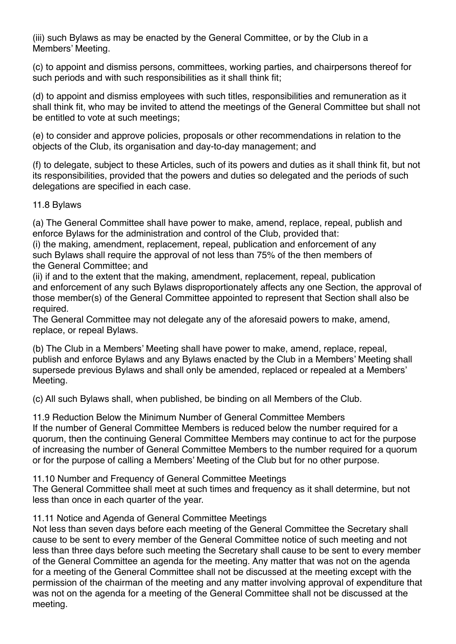(iii) such Bylaws as may be enacted by the General Committee, or by the Club in a Members' Meeting.

(c) to appoint and dismiss persons, committees, working parties, and chairpersons thereof for such periods and with such responsibilities as it shall think fit;

(d) to appoint and dismiss employees with such titles, responsibilities and remuneration as it shall think fit, who may be invited to attend the meetings of the General Committee but shall not be entitled to vote at such meetings;

(e) to consider and approve policies, proposals or other recommendations in relation to the objects of the Club, its organisation and day-to-day management; and

(f) to delegate, subject to these Articles, such of its powers and duties as it shall think fit, but not its responsibilities, provided that the powers and duties so delegated and the periods of such delegations are specified in each case.

11.8 Bylaws

(a) The General Committee shall have power to make, amend, replace, repeal, publish and enforce Bylaws for the administration and control of the Club, provided that:

(i) the making, amendment, replacement, repeal, publication and enforcement of any such Bylaws shall require the approval of not less than 75% of the then members of the General Committee; and

(ii) if and to the extent that the making, amendment, replacement, repeal, publication and enforcement of any such Bylaws disproportionately affects any one Section, the approval of those member(s) of the General Committee appointed to represent that Section shall also be required.

The General Committee may not delegate any of the aforesaid powers to make, amend, replace, or repeal Bylaws.

(b) The Club in a Members' Meeting shall have power to make, amend, replace, repeal, publish and enforce Bylaws and any Bylaws enacted by the Club in a Members' Meeting shall supersede previous Bylaws and shall only be amended, replaced or repealed at a Members' Meeting.

(c) All such Bylaws shall, when published, be binding on all Members of the Club.

11.9 Reduction Below the Minimum Number of General Committee Members If the number of General Committee Members is reduced below the number required for a quorum, then the continuing General Committee Members may continue to act for the purpose of increasing the number of General Committee Members to the number required for a quorum or for the purpose of calling a Members' Meeting of the Club but for no other purpose.

11.10 Number and Frequency of General Committee Meetings

The General Committee shall meet at such times and frequency as it shall determine, but not less than once in each quarter of the year.

#### 11.11 Notice and Agenda of General Committee Meetings

Not less than seven days before each meeting of the General Committee the Secretary shall cause to be sent to every member of the General Committee notice of such meeting and not less than three days before such meeting the Secretary shall cause to be sent to every member of the General Committee an agenda for the meeting. Any matter that was not on the agenda for a meeting of the General Committee shall not be discussed at the meeting except with the permission of the chairman of the meeting and any matter involving approval of expenditure that was not on the agenda for a meeting of the General Committee shall not be discussed at the meeting.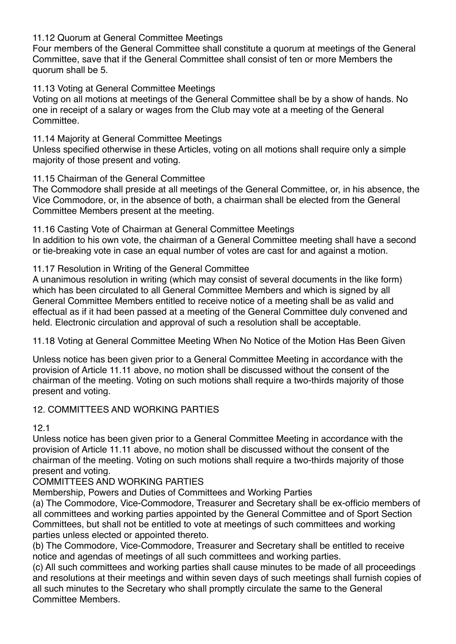11.12 Quorum at General Committee Meetings

Four members of the General Committee shall constitute a quorum at meetings of the General Committee, save that if the General Committee shall consist of ten or more Members the quorum shall be 5.

11.13 Voting at General Committee Meetings

Voting on all motions at meetings of the General Committee shall be by a show of hands. No one in receipt of a salary or wages from the Club may vote at a meeting of the General **Committee** 

11.14 Majority at General Committee Meetings

Unless specified otherwise in these Articles, voting on all motions shall require only a simple majority of those present and voting.

## 11.15 Chairman of the General Committee

The Commodore shall preside at all meetings of the General Committee, or, in his absence, the Vice Commodore, or, in the absence of both, a chairman shall be elected from the General Committee Members present at the meeting.

11.16 Casting Vote of Chairman at General Committee Meetings

In addition to his own vote, the chairman of a General Committee meeting shall have a second or tie-breaking vote in case an equal number of votes are cast for and against a motion.

## 11.17 Resolution in Writing of the General Committee

A unanimous resolution in writing (which may consist of several documents in the like form) which has been circulated to all General Committee Members and which is signed by all General Committee Members entitled to receive notice of a meeting shall be as valid and effectual as if it had been passed at a meeting of the General Committee duly convened and held. Electronic circulation and approval of such a resolution shall be acceptable.

11.18 Voting at General Committee Meeting When No Notice of the Motion Has Been Given

Unless notice has been given prior to a General Committee Meeting in accordance with the provision of Article 11.11 above, no motion shall be discussed without the consent of the chairman of the meeting. Voting on such motions shall require a two-thirds majority of those present and voting.

# 12. COMMITTEES AND WORKING PARTIES

12.1

Unless notice has been given prior to a General Committee Meeting in accordance with the provision of Article 11.11 above, no motion shall be discussed without the consent of the chairman of the meeting. Voting on such motions shall require a two-thirds majority of those present and voting.

COMMITTEES AND WORKING PARTIES

Membership, Powers and Duties of Committees and Working Parties

(a) The Commodore, Vice-Commodore, Treasurer and Secretary shall be ex-officio members of all committees and working parties appointed by the General Committee and of Sport Section Committees, but shall not be entitled to vote at meetings of such committees and working parties unless elected or appointed thereto.

(b) The Commodore, Vice-Commodore, Treasurer and Secretary shall be entitled to receive notice and agendas of meetings of all such committees and working parties.

(c) All such committees and working parties shall cause minutes to be made of all proceedings and resolutions at their meetings and within seven days of such meetings shall furnish copies of all such minutes to the Secretary who shall promptly circulate the same to the General Committee Members.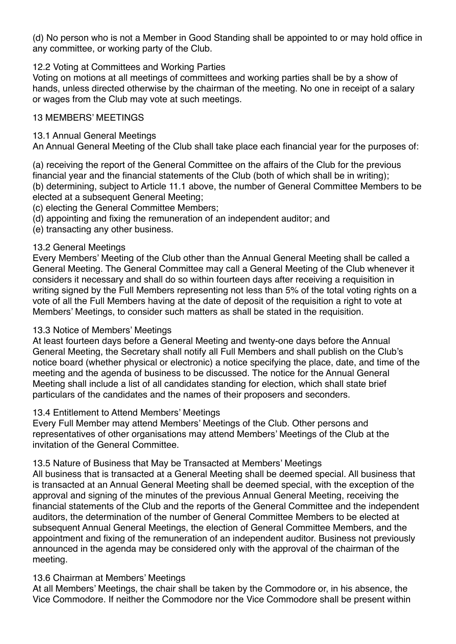(d) No person who is not a Member in Good Standing shall be appointed to or may hold office in any committee, or working party of the Club.

## 12.2 Voting at Committees and Working Parties

Voting on motions at all meetings of committees and working parties shall be by a show of hands, unless directed otherwise by the chairman of the meeting. No one in receipt of a salary or wages from the Club may vote at such meetings.

#### 13 MEMBERS' MEETINGS

#### 13.1 Annual General Meetings

An Annual General Meeting of the Club shall take place each financial year for the purposes of:

(a) receiving the report of the General Committee on the affairs of the Club for the previous financial year and the financial statements of the Club (both of which shall be in writing); (b) determining, subject to Article 11.1 above, the number of General Committee Members to be elected at a subsequent General Meeting;

(c) electing the General Committee Members;

- (d) appointing and fixing the remuneration of an independent auditor; and
- (e) transacting any other business.

## 13.2 General Meetings

Every Members' Meeting of the Club other than the Annual General Meeting shall be called a General Meeting. The General Committee may call a General Meeting of the Club whenever it considers it necessary and shall do so within fourteen days after receiving a requisition in writing signed by the Full Members representing not less than 5% of the total voting rights on a vote of all the Full Members having at the date of deposit of the requisition a right to vote at Members' Meetings, to consider such matters as shall be stated in the requisition.

#### 13.3 Notice of Members' Meetings

At least fourteen days before a General Meeting and twenty-one days before the Annual General Meeting, the Secretary shall notify all Full Members and shall publish on the Club's notice board (whether physical or electronic) a notice specifying the place, date, and time of the meeting and the agenda of business to be discussed. The notice for the Annual General Meeting shall include a list of all candidates standing for election, which shall state brief particulars of the candidates and the names of their proposers and seconders.

# 13.4 Entitlement to Attend Members' Meetings

Every Full Member may attend Members' Meetings of the Club. Other persons and representatives of other organisations may attend Members' Meetings of the Club at the invitation of the General Committee.

# 13.5 Nature of Business that May be Transacted at Members' Meetings

All business that is transacted at a General Meeting shall be deemed special. All business that is transacted at an Annual General Meeting shall be deemed special, with the exception of the approval and signing of the minutes of the previous Annual General Meeting, receiving the financial statements of the Club and the reports of the General Committee and the independent auditors, the determination of the number of General Committee Members to be elected at subsequent Annual General Meetings, the election of General Committee Members, and the appointment and fixing of the remuneration of an independent auditor. Business not previously announced in the agenda may be considered only with the approval of the chairman of the meeting.

# 13.6 Chairman at Members' Meetings

At all Members' Meetings, the chair shall be taken by the Commodore or, in his absence, the Vice Commodore. If neither the Commodore nor the Vice Commodore shall be present within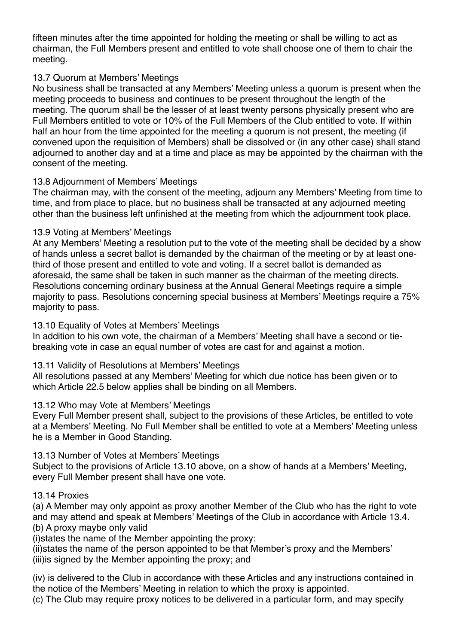fifteen minutes after the time appointed for holding the meeting or shall be willing to act as chairman, the Full Members present and entitled to vote shall choose one of them to chair the meeting.

## 13.7 Quorum at Members' Meetings

No business shall be transacted at any Members' Meeting unless a quorum is present when the meeting proceeds to business and continues to be present throughout the length of the meeting. The quorum shall be the lesser of at least twenty persons physically present who are Full Members entitled to vote or 10% of the Full Members of the Club entitled to vote. If within half an hour from the time appointed for the meeting a quorum is not present, the meeting (if convened upon the requisition of Members) shall be dissolved or (in any other case) shall stand adjourned to another day and at a time and place as may be appointed by the chairman with the consent of the meeting.

# 13.8 Adjournment of Members' Meetings

The chairman may, with the consent of the meeting, adjourn any Members' Meeting from time to time, and from place to place, but no business shall be transacted at any adjourned meeting other than the business left unfinished at the meeting from which the adjournment took place.

## 13.9 Voting at Members' Meetings

At any Members' Meeting a resolution put to the vote of the meeting shall be decided by a show of hands unless a secret ballot is demanded by the chairman of the meeting or by at least onethird of those present and entitled to vote and voting. If a secret ballot is demanded as aforesaid, the same shall be taken in such manner as the chairman of the meeting directs. Resolutions concerning ordinary business at the Annual General Meetings require a simple majority to pass. Resolutions concerning special business at Members' Meetings require a 75% majority to pass.

## 13.10 Equality of Votes at Members' Meetings

In addition to his own vote, the chairman of a Members' Meeting shall have a second or tiebreaking vote in case an equal number of votes are cast for and against a motion.

# 13.11 Validity of Resolutions at Members' Meetings

All resolutions passed at any Members' Meeting for which due notice has been given or to which Article 22.5 below applies shall be binding on all Members.

# 13.12 Who may Vote at Members' Meetings

Every Full Member present shall, subject to the provisions of these Articles, be entitled to vote at a Members' Meeting. No Full Member shall be entitled to vote at a Members' Meeting unless he is a Member in Good Standing.

#### 13.13 Number of Votes at Members' Meetings

Subject to the provisions of Article 13.10 above, on a show of hands at a Members' Meeting, every Full Member present shall have one vote.

#### 13.14 Proxies

(a) A Member may only appoint as proxy another Member of the Club who has the right to vote and may attend and speak at Members' Meetings of the Club in accordance with Article 13.4. (b) A proxy maybe only valid

(i)states the name of the Member appointing the proxy:

(ii)states the name of the person appointed to be that Member's proxy and the Members' (iii)is signed by the Member appointing the proxy; and

(iv) is delivered to the Club in accordance with these Articles and any instructions contained in the notice of the Members' Meeting in relation to which the proxy is appointed.

(c) The Club may require proxy notices to be delivered in a particular form, and may specify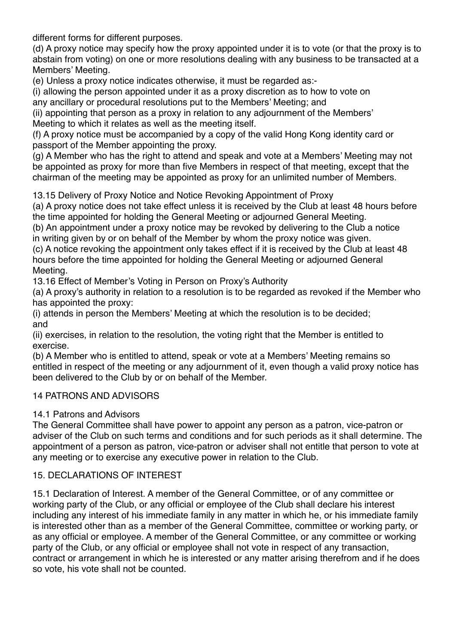different forms for different purposes.

(d) A proxy notice may specify how the proxy appointed under it is to vote (or that the proxy is to abstain from voting) on one or more resolutions dealing with any business to be transacted at a Members' Meeting.

(e) Unless a proxy notice indicates otherwise, it must be regarded as:-

(i) allowing the person appointed under it as a proxy discretion as to how to vote on any ancillary or procedural resolutions put to the Members' Meeting; and

(ii) appointing that person as a proxy in relation to any adjournment of the Members' Meeting to which it relates as well as the meeting itself.

(f) A proxy notice must be accompanied by a copy of the valid Hong Kong identity card or passport of the Member appointing the proxy.

(g) A Member who has the right to attend and speak and vote at a Members' Meeting may not be appointed as proxy for more than five Members in respect of that meeting, except that the chairman of the meeting may be appointed as proxy for an unlimited number of Members.

13.15 Delivery of Proxy Notice and Notice Revoking Appointment of Proxy

(a) A proxy notice does not take effect unless it is received by the Club at least 48 hours before the time appointed for holding the General Meeting or adjourned General Meeting.

(b) An appointment under a proxy notice may be revoked by delivering to the Club a notice in writing given by or on behalf of the Member by whom the proxy notice was given.

(c) A notice revoking the appointment only takes effect if it is received by the Club at least 48 hours before the time appointed for holding the General Meeting or adjourned General Meeting.

13.16 Effect of Member's Voting in Person on Proxy's Authority

(a) A proxy's authority in relation to a resolution is to be regarded as revoked if the Member who has appointed the proxy:

(i) attends in person the Members' Meeting at which the resolution is to be decided; and

(ii) exercises, in relation to the resolution, the voting right that the Member is entitled to exercise.

(b) A Member who is entitled to attend, speak or vote at a Members' Meeting remains so entitled in respect of the meeting or any adjournment of it, even though a valid proxy notice has been delivered to the Club by or on behalf of the Member.

# 14 PATRONS AND ADVISORS

# 14.1 Patrons and Advisors

The General Committee shall have power to appoint any person as a patron, vice-patron or adviser of the Club on such terms and conditions and for such periods as it shall determine. The appointment of a person as patron, vice-patron or adviser shall not entitle that person to vote at any meeting or to exercise any executive power in relation to the Club.

# 15. DECLARATIONS OF INTEREST

15.1 Declaration of Interest. A member of the General Committee, or of any committee or working party of the Club, or any official or employee of the Club shall declare his interest including any interest of his immediate family in any matter in which he, or his immediate family is interested other than as a member of the General Committee, committee or working party, or as any official or employee. A member of the General Committee, or any committee or working party of the Club, or any official or employee shall not vote in respect of any transaction, contract or arrangement in which he is interested or any matter arising therefrom and if he does so vote, his vote shall not be counted.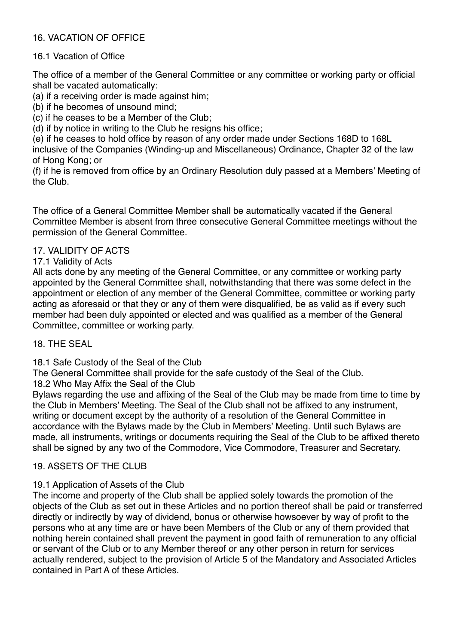# 16. VACATION OF OFFICE

# 16.1 Vacation of Office

The office of a member of the General Committee or any committee or working party or official shall be vacated automatically:

(a) if a receiving order is made against him;

(b) if he becomes of unsound mind;

(c) if he ceases to be a Member of the Club;

(d) if by notice in writing to the Club he resigns his office;

(e) if he ceases to hold office by reason of any order made under Sections 168D to 168L inclusive of the Companies (Winding-up and Miscellaneous) Ordinance, Chapter 32 of the law of Hong Kong; or

(f) if he is removed from office by an Ordinary Resolution duly passed at a Members' Meeting of the Club.

The office of a General Committee Member shall be automatically vacated if the General Committee Member is absent from three consecutive General Committee meetings without the permission of the General Committee.

# 17. VALIDITY OF ACTS

17.1 Validity of Acts

All acts done by any meeting of the General Committee, or any committee or working party appointed by the General Committee shall, notwithstanding that there was some defect in the appointment or election of any member of the General Committee, committee or working party acting as aforesaid or that they or any of them were disqualified, be as valid as if every such member had been duly appointed or elected and was qualified as a member of the General Committee, committee or working party.

18. THE SEAL

18.1 Safe Custody of the Seal of the Club

The General Committee shall provide for the safe custody of the Seal of the Club.

18.2 Who May Affix the Seal of the Club

Bylaws regarding the use and affixing of the Seal of the Club may be made from time to time by the Club in Members' Meeting. The Seal of the Club shall not be affixed to any instrument, writing or document except by the authority of a resolution of the General Committee in accordance with the Bylaws made by the Club in Members' Meeting. Until such Bylaws are made, all instruments, writings or documents requiring the Seal of the Club to be affixed thereto shall be signed by any two of the Commodore, Vice Commodore, Treasurer and Secretary.

# 19. ASSETS OF THE CLUB

# 19.1 Application of Assets of the Club

The income and property of the Club shall be applied solely towards the promotion of the objects of the Club as set out in these Articles and no portion thereof shall be paid or transferred directly or indirectly by way of dividend, bonus or otherwise howsoever by way of profit to the persons who at any time are or have been Members of the Club or any of them provided that nothing herein contained shall prevent the payment in good faith of remuneration to any official or servant of the Club or to any Member thereof or any other person in return for services actually rendered, subject to the provision of Article 5 of the Mandatory and Associated Articles contained in Part A of these Articles.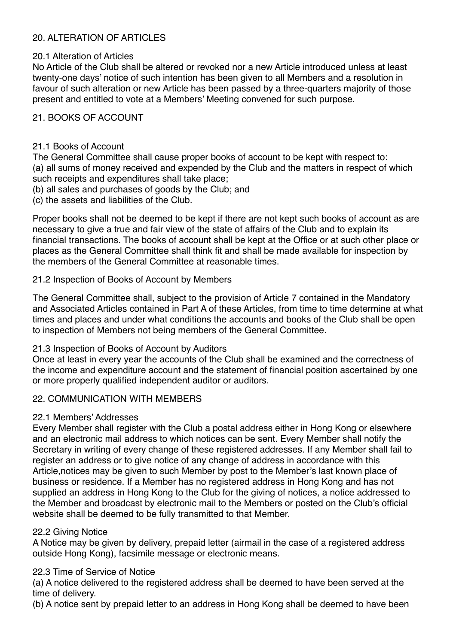# 20. ALTERATION OF ARTICLES

## 20.1 Alteration of Articles

No Article of the Club shall be altered or revoked nor a new Article introduced unless at least twenty-one days' notice of such intention has been given to all Members and a resolution in favour of such alteration or new Article has been passed by a three-quarters majority of those present and entitled to vote at a Members' Meeting convened for such purpose.

## 21. BOOKS OF ACCOUNT

#### 21.1 Books of Account

The General Committee shall cause proper books of account to be kept with respect to: (a) all sums of money received and expended by the Club and the matters in respect of which such receipts and expenditures shall take place;

(b) all sales and purchases of goods by the Club; and

(c) the assets and liabilities of the Club.

Proper books shall not be deemed to be kept if there are not kept such books of account as are necessary to give a true and fair view of the state of affairs of the Club and to explain its financial transactions. The books of account shall be kept at the Office or at such other place or places as the General Committee shall think fit and shall be made available for inspection by the members of the General Committee at reasonable times.

## 21.2 Inspection of Books of Account by Members

The General Committee shall, subject to the provision of Article 7 contained in the Mandatory and Associated Articles contained in Part A of these Articles, from time to time determine at what times and places and under what conditions the accounts and books of the Club shall be open to inspection of Members not being members of the General Committee.

#### 21.3 Inspection of Books of Account by Auditors

Once at least in every year the accounts of the Club shall be examined and the correctness of the income and expenditure account and the statement of financial position ascertained by one or more properly qualified independent auditor or auditors.

# 22. COMMUNICATION WITH MEMBERS

#### 22.1 Members' Addresses

Every Member shall register with the Club a postal address either in Hong Kong or elsewhere and an electronic mail address to which notices can be sent. Every Member shall notify the Secretary in writing of every change of these registered addresses. If any Member shall fail to register an address or to give notice of any change of address in accordance with this Article,notices may be given to such Member by post to the Member's last known place of business or residence. If a Member has no registered address in Hong Kong and has not supplied an address in Hong Kong to the Club for the giving of notices, a notice addressed to the Member and broadcast by electronic mail to the Members or posted on the Club's official website shall be deemed to be fully transmitted to that Member.

#### 22.2 Giving Notice

A Notice may be given by delivery, prepaid letter (airmail in the case of a registered address outside Hong Kong), facsimile message or electronic means.

# 22.3 Time of Service of Notice

(a) A notice delivered to the registered address shall be deemed to have been served at the time of delivery.

(b) A notice sent by prepaid letter to an address in Hong Kong shall be deemed to have been